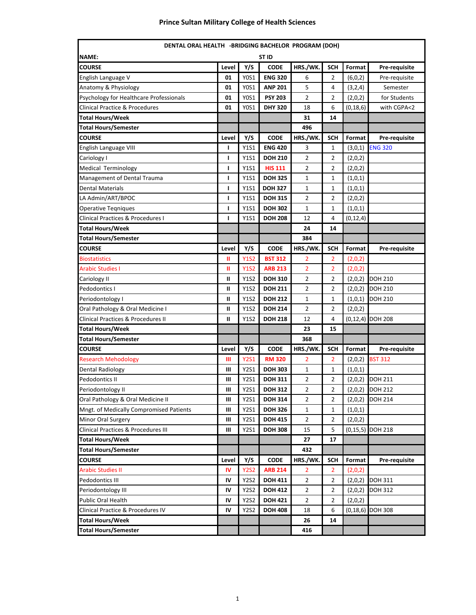| DENTAL ORAL HEALTH -BRIDGING BACHELOR PROGRAM (DOH) |       |             |                |                |                |            |                      |  |  |  |  |
|-----------------------------------------------------|-------|-------------|----------------|----------------|----------------|------------|----------------------|--|--|--|--|
| <b>NAME:</b><br>ST ID                               |       |             |                |                |                |            |                      |  |  |  |  |
| <b>COURSE</b>                                       | Level | Y/S         | <b>CODE</b>    | HRS./WK.       | <b>SCH</b>     | Format     | Pre-requisite        |  |  |  |  |
| English Language V                                  | 01    | Y0S1        | <b>ENG 320</b> | 6              | 2              | (6,0,2)    | Pre-requisite        |  |  |  |  |
| Anatomy & Physiology                                | 01    | Y0S1        | <b>ANP 201</b> | 5              | 4              | (3,2,4)    | Semester             |  |  |  |  |
| Psychology for Healthcare Professionals             | 01    | Y0S1        | <b>PSY 203</b> | $\overline{2}$ | 2              | (2,0,2)    | for Students         |  |  |  |  |
| <b>Clinical Practice &amp; Procedures</b>           | 01    | Y0S1        | <b>DHY 320</b> | 18             | 6              | (0, 18, 6) | with CGPA<2          |  |  |  |  |
| <b>Total Hours/Week</b>                             |       |             |                | 31             | 14             |            |                      |  |  |  |  |
| <b>Total Hours/Semester</b>                         |       |             |                | 496            |                |            |                      |  |  |  |  |
| <b>COURSE</b>                                       | Level | Y/S         | <b>CODE</b>    | HRS./WK.       | <b>SCH</b>     | Format     | Pre-requisite        |  |  |  |  |
| English Language VIII                               | ı     | Y1S1        | <b>ENG 420</b> | 3              | 1              | (3,0,1)    | <b>ENG 320</b>       |  |  |  |  |
| Cariology I                                         | L     | Y1S1        | <b>DOH 210</b> | $\overline{2}$ | 2              | (2,0,2)    |                      |  |  |  |  |
| Medical Terminology                                 | ı     | Y1S1        | <b>HIS 111</b> | $\overline{2}$ | 2              | (2,0,2)    |                      |  |  |  |  |
| Management of Dental Trauma                         | I.    | Y1S1        | <b>DOH 325</b> | 1              | 1              | (1,0,1)    |                      |  |  |  |  |
| <b>Dental Materials</b>                             | L     | Y1S1        | <b>DOH 327</b> | $\mathbf{1}$   | 1              | (1,0,1)    |                      |  |  |  |  |
| LA Admin/ART/BPOC                                   | L     | Y1S1        | <b>DOH 315</b> | $\overline{2}$ | 2              | (2,0,2)    |                      |  |  |  |  |
| Operative Tegniques                                 | I.    | Y1S1        | <b>DOH 302</b> | $\mathbf{1}$   | 1              | (1,0,1)    |                      |  |  |  |  |
| Clinical Practices & Procedures I                   | I.    | Y1S1        | <b>DOH 208</b> | 12             | 4              | (0, 12, 4) |                      |  |  |  |  |
| Total Hours/Week                                    |       |             |                | 24             | 14             |            |                      |  |  |  |  |
| Total Hours/Semester                                |       |             |                | 384            |                |            |                      |  |  |  |  |
| <b>COURSE</b>                                       | Level | Y/S         | <b>CODE</b>    | HRS./WK.       | <b>SCH</b>     | Format     | Pre-requisite        |  |  |  |  |
| <b>Biostatistics</b>                                | Ш     | <b>Y1S2</b> | <b>BST 312</b> | 2              | 2              | (2,0,2)    |                      |  |  |  |  |
| <b>Arabic Studies I</b>                             | Ш     | <b>Y1S2</b> | <b>ARB 213</b> | $\overline{2}$ | $\overline{2}$ | (2,0,2)    |                      |  |  |  |  |
| Cariology II                                        | Ш     | <b>Y1S2</b> | <b>DOH 310</b> | $\overline{2}$ | $\overline{2}$ | (2,0,2)    | <b>DOH 210</b>       |  |  |  |  |
| Pedodontics I                                       | Ш     | Y1S2        | <b>DOH 211</b> | $\mathbf 2$    | 2              | (2,0,2)    | <b>DOH 210</b>       |  |  |  |  |
| Periodontology I                                    | Ш     | Y1S2        | <b>DOH 212</b> | $\mathbf{1}$   | 1              | (1,0,1)    | <b>DOH 210</b>       |  |  |  |  |
| Oral Pathology & Oral Medicine I                    | Ш     | <b>Y1S2</b> | <b>DOH 214</b> | $\overline{2}$ | 2              | (2,0,2)    |                      |  |  |  |  |
| <b>Clinical Practices &amp; Procedures II</b>       | Ш     | <b>Y1S2</b> | <b>DOH 218</b> | 12             | 4              |            | $(0, 12, 4)$ DOH 208 |  |  |  |  |
| <b>Total Hours/Week</b>                             |       |             |                | 23             | 15             |            |                      |  |  |  |  |
| <b>Total Hours/Semester</b>                         |       |             |                | 368            |                |            |                      |  |  |  |  |
| <b>COURSE</b>                                       | Level | Y/S         | <b>CODE</b>    | HRS./WK.       | <b>SCH</b>     | Format     | Pre-requisite        |  |  |  |  |
| <b>Research Mehodology</b>                          | Ш     | <b>Y2S1</b> | <b>RM 320</b>  | 2              | 2              | (2,0,2)    | <b>BST 312</b>       |  |  |  |  |
| <b>Dental Radiology</b>                             | Ш     | Y2S1        | <b>DOH 303</b> | 1              | 1              | (1,0,1)    |                      |  |  |  |  |
| Pedodontics II                                      | Ш     | Y2S1        | <b>DOH 311</b> | $\overline{2}$ | 2              |            | $(2,0,2)$ DOH 211    |  |  |  |  |
| Periodontology II                                   | Ш     | Y2S1        | <b>DOH 312</b> | $\mathbf 2$    | $\overline{c}$ |            | $(2,0,2)$ DOH 212    |  |  |  |  |
| Oral Pathology & Oral Medicine II                   | Ш     | Y2S1        | <b>DOH 314</b> | 2              | 2              | (2,0,2)    | <b>DOH 214</b>       |  |  |  |  |
| Mngt. of Medically Compromised Patients             | Ш     | Y2S1        | <b>DOH 326</b> | 1              | 1              | (1,0,1)    |                      |  |  |  |  |
| Minor Oral Surgery                                  | Ш     | Y2S1        | <b>DOH 415</b> | $\overline{2}$ | 2              | (2,0,2)    |                      |  |  |  |  |
| Clinical Practices & Procedures III                 | Ш     | Y2S1        | <b>DOH 308</b> | 15             | 5              |            | $(0, 15, 5)$ DOH 218 |  |  |  |  |
| <b>Total Hours/Week</b>                             |       |             |                | 27             | 17             |            |                      |  |  |  |  |
| <b>Total Hours/Semester</b>                         |       |             |                | 432            |                |            |                      |  |  |  |  |
| <b>COURSE</b>                                       | Level | Y/S         | <b>CODE</b>    | HRS./WK.       | <b>SCH</b>     | Format     | Pre-requisite        |  |  |  |  |
| <b>Arabic Studies II</b>                            | IV    | <b>Y2S2</b> | <b>ARB 214</b> | 2              | 2              | (2,0,2)    |                      |  |  |  |  |
| Pedodontics III                                     | IV    | <b>Y2S2</b> | <b>DOH 411</b> | $\overline{2}$ | 2              | (2,0,2)    | <b>DOH 311</b>       |  |  |  |  |
| Periodontology III                                  | IV    | <b>Y2S2</b> | <b>DOH 412</b> | $\overline{2}$ | $\overline{2}$ | (2,0,2)    | <b>DOH 312</b>       |  |  |  |  |
| Public Oral Health                                  | IV    | <b>Y2S2</b> | <b>DOH 421</b> | $\overline{2}$ | $\overline{2}$ | (2,0,2)    |                      |  |  |  |  |
| Clinical Practice & Procedures IV                   | IV    | <b>Y2S2</b> | <b>DOH 408</b> | 18             | 6              | (0, 18, 6) | <b>DOH 308</b>       |  |  |  |  |
| <b>Total Hours/Week</b>                             |       |             |                | 26             | 14             |            |                      |  |  |  |  |
| <b>Total Hours/Semester</b>                         |       |             |                | 416            |                |            |                      |  |  |  |  |